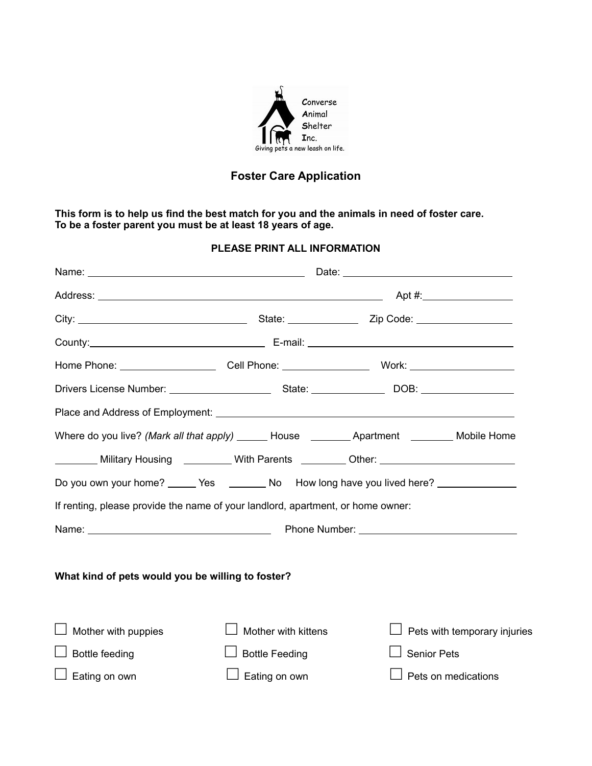

# **Foster Care Application**

**This form is to help us find the best match for you and the animals in need of foster care. To be a foster parent you must be at least 18 years of age.**

## **PLEASE PRINT ALL INFORMATION**

|                                                                                 |                       | Where do you live? (Mark all that apply) _______ House __________ Apartment _________ Mobile Home   |  |  |
|---------------------------------------------------------------------------------|-----------------------|-----------------------------------------------------------------------------------------------------|--|--|
|                                                                                 |                       | _______ Military Housing _________ With Parents ________ Other: ________________                    |  |  |
|                                                                                 |                       | Do you own your home? _______ Yes ___________ No How long have you lived here? ____________________ |  |  |
| If renting, please provide the name of your landlord, apartment, or home owner: |                       |                                                                                                     |  |  |
|                                                                                 |                       |                                                                                                     |  |  |
|                                                                                 |                       |                                                                                                     |  |  |
| What kind of pets would you be willing to foster?                               |                       |                                                                                                     |  |  |
|                                                                                 |                       |                                                                                                     |  |  |
| Mother with puppies                                                             | Mother with kittens   | Pets with temporary injuries                                                                        |  |  |
| <b>Bottle feeding</b>                                                           | <b>Bottle Feeding</b> | <b>Senior Pets</b>                                                                                  |  |  |
| Eating on own                                                                   | Eating on own         | Pets on medications                                                                                 |  |  |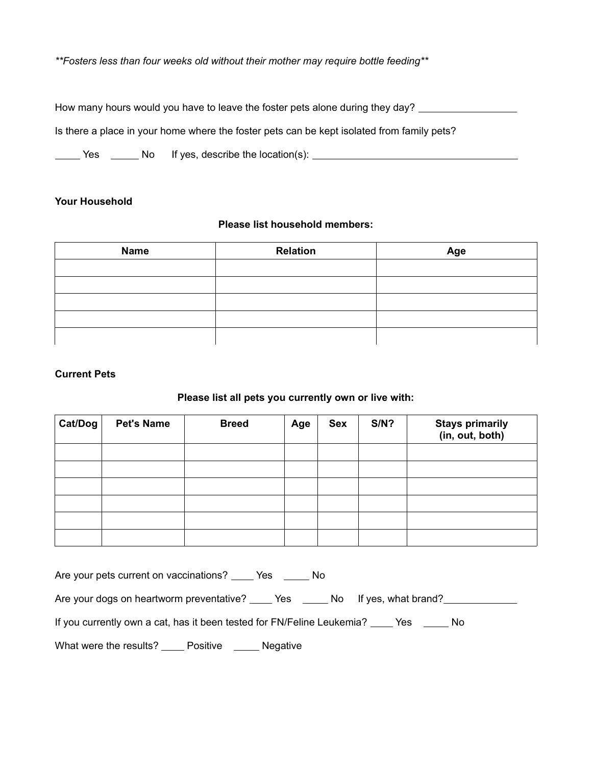*\*\*Fosters less than four weeks old without their mother may require bottle feeding\*\**

How many hours would you have to leave the foster pets alone during they day? Is there a place in your home where the foster pets can be kept isolated from family pets? The Yes The No If yes, describe the location(s): The North Content of North Content of North Content of North Content of North Content of North Content of North Content of North Content of North Content of North Content of

### **Your Household**

#### **Please list household members:**

| <b>Name</b> | <b>Relation</b> | Age |
|-------------|-----------------|-----|
|             |                 |     |
|             |                 |     |
|             |                 |     |
|             |                 |     |
|             |                 |     |

## **Current Pets**

## **Please list all pets you currently own or live with:**

| $\vert$ Cat/Dog $\vert$ | <b>Pet's Name</b> | <b>Breed</b> | Age | <b>Sex</b> | $S/N$ ? | Stays primarily<br>(in, out, both) |
|-------------------------|-------------------|--------------|-----|------------|---------|------------------------------------|
|                         |                   |              |     |            |         |                                    |
|                         |                   |              |     |            |         |                                    |
|                         |                   |              |     |            |         |                                    |
|                         |                   |              |     |            |         |                                    |
|                         |                   |              |     |            |         |                                    |
|                         |                   |              |     |            |         |                                    |

Are your pets current on vaccinations? \_\_\_\_ Yes \_\_\_\_\_ No

Are your dogs on heartworm preventative? \_\_\_\_\_ Yes \_\_\_\_\_\_ No If yes, what brand? \_\_\_\_\_\_\_\_\_\_\_\_\_\_\_\_\_\_

If you currently own a cat, has it been tested for FN/Feline Leukemia? \_\_\_\_ Yes \_\_\_\_\_ No

What were the results? \_\_\_\_ Positive \_\_\_\_\_ Negative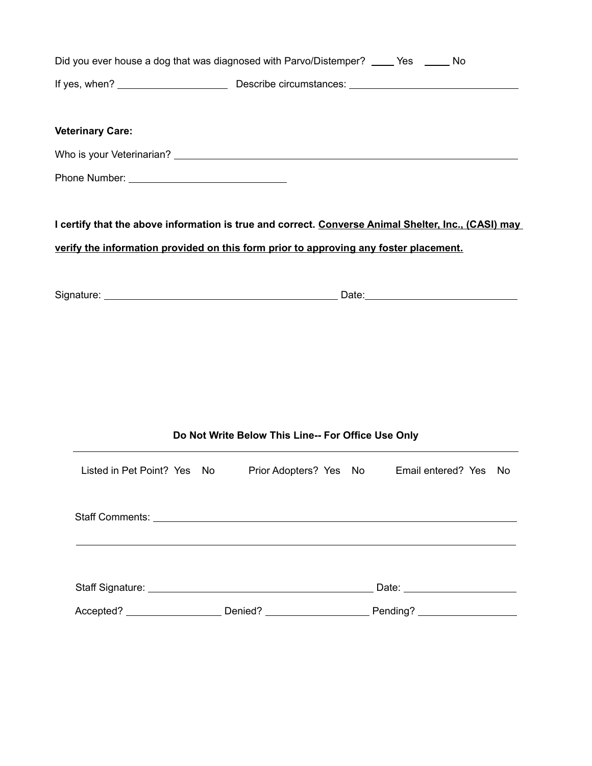|                         |                                                    | Did you ever house a dog that was diagnosed with Parvo/Distemper? ____ Yes _____ No                                                                                                          |  |  |  |
|-------------------------|----------------------------------------------------|----------------------------------------------------------------------------------------------------------------------------------------------------------------------------------------------|--|--|--|
|                         |                                                    |                                                                                                                                                                                              |  |  |  |
| <b>Veterinary Care:</b> |                                                    |                                                                                                                                                                                              |  |  |  |
|                         |                                                    |                                                                                                                                                                                              |  |  |  |
|                         |                                                    |                                                                                                                                                                                              |  |  |  |
|                         |                                                    | I certify that the above information is true and correct. Converse Animal Shelter, Inc., (CASI) may<br>verify the information provided on this form prior to approving any foster placement. |  |  |  |
|                         |                                                    |                                                                                                                                                                                              |  |  |  |
|                         |                                                    |                                                                                                                                                                                              |  |  |  |
|                         |                                                    |                                                                                                                                                                                              |  |  |  |
|                         |                                                    |                                                                                                                                                                                              |  |  |  |
|                         |                                                    |                                                                                                                                                                                              |  |  |  |
|                         |                                                    |                                                                                                                                                                                              |  |  |  |
|                         |                                                    |                                                                                                                                                                                              |  |  |  |
|                         | Do Not Write Below This Line-- For Office Use Only |                                                                                                                                                                                              |  |  |  |
|                         |                                                    | Listed in Pet Point? Yes No Prior Adopters? Yes No Email entered? Yes No                                                                                                                     |  |  |  |
|                         |                                                    |                                                                                                                                                                                              |  |  |  |
|                         |                                                    |                                                                                                                                                                                              |  |  |  |
|                         |                                                    |                                                                                                                                                                                              |  |  |  |
|                         |                                                    | Accepted? ______________________Denied? ___________________________Pending? _______________________                                                                                          |  |  |  |